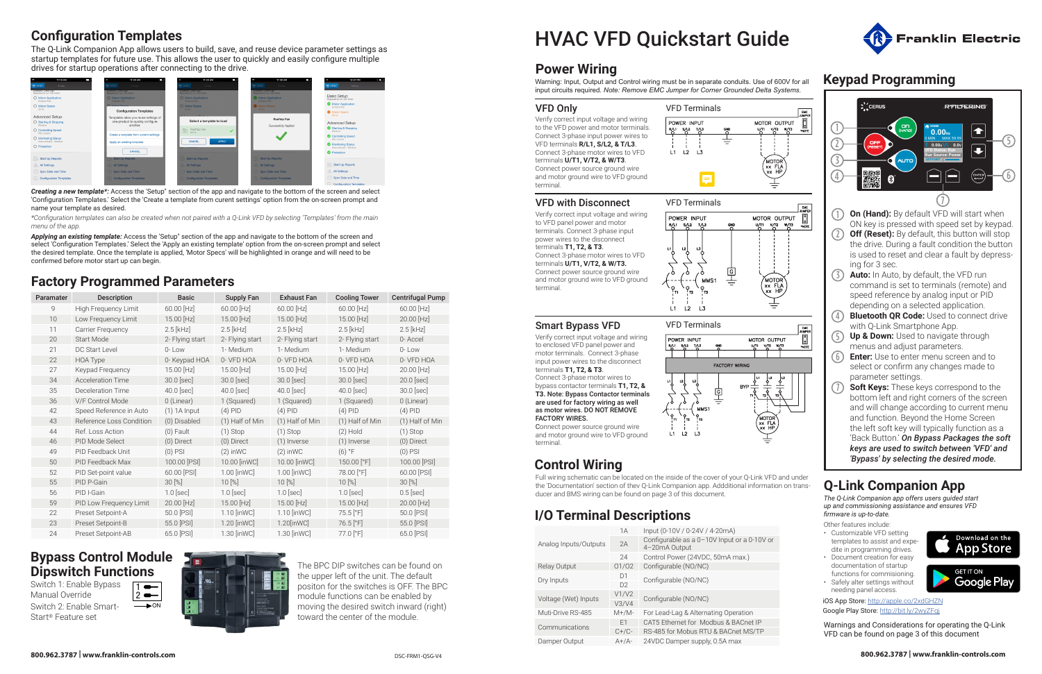# HVAC VFD Quickstart Guide

### **Power Wiring**

Warning: Input, Output and Control wiring must be in separate conduits. Use of 600V for all input circuits required. *Note: Remove EMC Jumper for Corner Grounded Delta Systems.*

## **Keypad Programming**

7

2



- ON key is pressed with speed set by keypad. **Off (Reset):** By default, this button will stop the drive. During a fault condition the button is used to reset and clear a fault by depressing for 3 sec.
- $(3)$ **Auto:** In Auto, by default, the VFD run command is set to terminals (remote) and speed reference by analog input or PID depending on a selected application.
- $(4)$ **Bluetooth QR Code:** Used to connect drive with Q-Link Smartphone App.
- 5 **Up & Down:** Used to navigate through menus and adjust parameters.
- $(6)$ **Enter:** Use to enter menu screen and to select or confirm any changes made to parameter settings.
- **Soft Keys:** These keys correspond to the bottom left and right corners of the screen and will change according to current menu and function. Beyond the Home Screen the left soft key will typically function as a 'Back Button.' *On Bypass Packages the soft keys are used to switch between 'VFD' and 'Bypass' by selecting the desired mode.*

## **Q-Link Companion App**

*The Q-Link Companion app offers users guided start up and commissioning assistance and ensures VFD firmware is up-to-date.*

### **Configuration Templates**

The Q-Link Companion App allows users to build, save, and reuse device parameter settings as startup templates for future use. This allows the user to quickly and easily configure multiple drives for startup operations after connecting to the drive.



*Creating a new template\*:* Access the 'Setup" section of the app and navigate to the bottom of the screen and select 'Configuration Templates.' Select the 'Create a template from curent settings' option from the on-screen prompt and name your template as desired.

*Applying an existing template:* Access the 'Setup" section of the app and navigate to the bottom of the screen and select 'Configuration Templates.' Select the 'Apply an existing template' option from the on-screen prompt and select the desired template. Once the template is applied, 'Motor Specs' will be highlighted in orange and will need to be confirmed before motor start up can begin.

### **Factory Programmed Parameters**

Switch 1: Enable Bypass Manual Override Switch 2: Enable Smart-Start® Feature set 2  $\overline{\phantom{0}}$  $\longrightarrow$  ON



| Paramater | <b>Description</b>       | <b>Basic</b>    | <b>Supply Fan</b> | <b>Exhaust Fan</b> | <b>Cooling Tower</b>    | <b>Centrifugal Pump</b> |
|-----------|--------------------------|-----------------|-------------------|--------------------|-------------------------|-------------------------|
| 9         | High Frequency Limit     | 60.00 [Hz]      | 60.00 [Hz]        | $60.00$ [Hz]       | $60.00$ [Hz]            | 60.00 [Hz]              |
| 10        | Low Frequency Limit      | 15.00 [Hz]      | 15.00 [Hz]        | 15.00 [Hz]         | 15.00 [Hz]              | 20.00 [Hz]              |
| 11        | Carrier Frequency        | $2.5$ [kHz]     | $2.5$ [kHz]       | $2.5$ [kHz]        | $2.5$ [kHz]             | $2.5$ [kHz]             |
| 20        | Start Mode               | 2- Flying start | 2- Flying start   | 2- Flying start    | 2- Flying start         | 0-Accel                 |
| 21        | DC Start Level           | 0-Low           | 1- Medium         | 1- Medium          | 1- Medium               | 0-Low                   |
| 22        | HOA Type                 | 0- Keypad HOA   | 0- VFD HOA        | 0- VFD HOA         | 0- VFD HOA              | 0- VFD HOA              |
| 27        | Keypad Frequency         | 15.00 [Hz]      | 15.00 [Hz]        | 15.00 [Hz]         | 15.00 [Hz]              | 20.00 [Hz]              |
| 34        | <b>Acceleration Time</b> | 30.0 [sec]      | 30.0 [sec]        | 30.0 [sec]         | 30.0 [sec]              | 20.0 [sec]              |
| 35        | Deceleration Time        | $40.0$ [sec]    | 40.0 [sec]        | 40.0 [sec]         | 40.0 [sec]              | 30.0 [sec]              |
| 36        | V/F Control Mode         | 0 (Linear)      | 1 (Squared)       | 1 (Squared)        | 1 (Squared)             | 0 (Linear)              |
| 42        | Speed Reference in Auto  | $(1)$ 1A Input  | $(4)$ PID         | $(4)$ PID          | $(4)$ PID               | $(4)$ PID               |
| 43        | Reference Loss Condition | (0) Disabled    | (1) Half of Min   | (1) Half of Min    | $(1)$ Half of Min       | (1) Half of Min         |
| 44        | Ref. Loss Action         | $(0)$ Fault     | $(1)$ Stop        | $(1)$ Stop         | $(2)$ Hold              | $(1)$ Stop              |
| 46        | PID Mode Select          | (0) Direct      | $(0)$ Direct      | (1) Inverse        | $(1)$ Inverse           | (0) Direct              |
| 49        | PID Feedback Unit        | $(0)$ PSI       | $(2)$ in WC       | $(2)$ in WC        | $(6)$ °F                | $(0)$ PSI               |
| 50        | PID Feedback Max         | 100.00 [PSI]    | 10.00 [inWC]      | 10.00 [inWC]       | 150.00 <sup>[°</sup> F] | 100.00 [PSI]            |
| 52        | PID Set-point value      | 60.00 [PSI]     | 1.00 [inWC]       | 1.00 [inWC]        | 78.00 [°F]              | 60.00 [PSI]             |
| 55        | PID P-Gain               | 30 [%]          | $10^{8}$          | $10^{8}$           | $10^{8}$                | 30 [%]                  |
| 56        | PID I-Gain               | $1.0$ [sec]     | $1.0$ [sec]       | $1.0$ [sec]        | $1.0$ [sec]             | $0.5$ [sec]             |
| 59        | PID Low Frequency Limit  | 20.00 [Hz]      | 15.00 [Hz]        | $15.00$ [Hz]       | $15.00$ [Hz]            | 20.00 [Hz]              |
| 22        | Preset Setpoint-A        | 50.0 [PSI]      | 1.10 [inWC]       | 1.10 [inWC]        | 75.5 [°F]               | 50.0 [PSI]              |
| 23        | Preset Setpoint-B        | 55.0 [PSI]      | $1.20$ [inWC]     | $1.20$ [inWC]      | $76.5$ [ $\degree$ F]   | 55.0 [PSI]              |
| 24        | Preset Setpoint-AB       | 65.0 [PSI]      | 1.30 [inWC]       | 1.30 [inWC]        | $77.0$ [ $\degree$ F]   | 65.0 [PSI]              |

iOS App Store: http://apple.co/2xdGHZN Google Play Store: http://bit.ly/2wyZFqj



### **Control Wiring**

Full wiring schematic can be located on the inside of the cover of your Q-Link VFD and under the 'Documentation' section of thev Q-Link Companion app. Addditional information on transducer and BMS wiring can be found on page 3 of this document.

### **I/O Terminal Descriptions**

1A Input (0-10V / 0-24V / 4-20mA)

|                       | H              |                                                              |  |  |  |  |
|-----------------------|----------------|--------------------------------------------------------------|--|--|--|--|
| Analog Inputs/Outputs | 2A             | Configurable as a 0-10V Input or a 0-10V or<br>4-20mA Output |  |  |  |  |
|                       | 24             | Control Power (24VDC, 50mA max.)                             |  |  |  |  |
| Relay Output          | 01/02          | Configurable (NO/NC)                                         |  |  |  |  |
| Dry Inputs            | D <sub>1</sub> | Configurable (NO/NC)                                         |  |  |  |  |
|                       | D <sub>2</sub> |                                                              |  |  |  |  |
| Voltage (Wet) Inputs  | V1/V2          | Configurable (NO/NC)                                         |  |  |  |  |
|                       | V3/V4          |                                                              |  |  |  |  |
| Muti-Drive RS-485     | $M+/M-$        | For Lead-Lag & Alternating Operation                         |  |  |  |  |
| Communications        | E <sub>1</sub> | CAT5 Ethernet for Modbus & BACnet IP                         |  |  |  |  |
|                       | $C+/C-$        | RS-485 for Mobus RTU & BACnet MS/TP                          |  |  |  |  |
| Damper Output         | $A+/A-$        | 24VDC Damper supply, 0.5A max                                |  |  |  |  |
|                       |                |                                                              |  |  |  |  |







Other features include:

- Customizable VFD setting templates to assist and expedite in programming drives.
- Document creation for easy documentation of startup functions for commisioning.
- Safely alter settings without needing panel access.

*\*Configuration templates can also be created when not paired with a Q-Link VFD by selecting 'Templates' from the main menu of the app.*

Verify correct input voltage and wiring to the VFD power and motor terminals. Connect 3-phase input power wires to VFD terminals **R/L1, S/L2, & T/L3**. Connect 3-phase motor wires to VFD terminals **U/T1, V/T2, & W/T3**. Connect power source ground wire and motor ground wire to VFD ground terminal.

#### VFD Only

#### VFD with Disconnect

#### Smart Bypass VFD

Verify correct input voltage and wiring to VFD panel power and motor terminals. Connect 3-phase input power wires to the disconnect terminals **T1, T2, & T3**. Connect 3-phase motor wires to VFD terminals **U/T1, V/T2, & W/T3.** Connect power source ground wire and motor ground wire to VFD ground terminal.



Verify correct input voltage and wiring to enclosed VFD panel power and motor terminals. Connect 3-phase input power wires to the disconnect terminals **T1, T2, & T3**. Connect 3-phase motor wires to bypass contactor terminals **T1, T2, & T3.** Note: Bypass Contactor terminals are used for factory wiring as well as motor wires. DO NOT REMOVE FACTORY WIRES.

Connect power source ground wire and motor ground wire to VFD ground

terminal.





Warnings and Considerations for operating the Q-Link VFD can be found on page 3 of this document

### **Bypass Control Module Dipswitch Functions**

The BPC DIP switches can be found on the upper left of the unit. The default positon for the switches is OFF. The BPC module functions can be enabled by moving the desired switch inward (right) toward the center of the module.